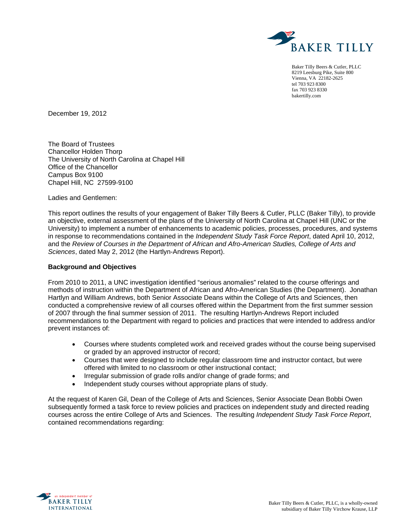

Baker Tilly Beers & Cutler, PLLC 8219 Leesburg Pike, Suite 800 Vienna, VA 22182-2625 tel 703 923 8300 fax 703 923 8330 bakertilly.com

December 19, 2012

The Board of Trustees Chancellor Holden Thorp The University of North Carolina at Chapel Hill Office of the Chancellor Campus Box 9100 Chapel Hill, NC 27599-9100

Ladies and Gentlemen:

This report outlines the results of your engagement of Baker Tilly Beers & Cutler, PLLC (Baker Tilly), to provide an objective, external assessment of the plans of the University of North Carolina at Chapel Hill (UNC or the University) to implement a number of enhancements to academic policies, processes, procedures, and systems in response to recommendations contained in the *Independent Study Task Force Report*, dated April 10, 2012, and the *Review of Courses in the Department of African and Afro-American Studies, College of Arts and Sciences*, dated May 2, 2012 (the Hartlyn-Andrews Report).

#### **Background and Objectives**

From 2010 to 2011, a UNC investigation identified "serious anomalies" related to the course offerings and methods of instruction within the Department of African and Afro-American Studies (the Department). Jonathan Hartlyn and William Andrews, both Senior Associate Deans within the College of Arts and Sciences, then conducted a comprehensive review of all courses offered within the Department from the first summer session of 2007 through the final summer session of 2011. The resulting Hartlyn-Andrews Report included recommendations to the Department with regard to policies and practices that were intended to address and/or prevent instances of:

- Courses where students completed work and received grades without the course being supervised or graded by an approved instructor of record;
- Courses that were designed to include regular classroom time and instructor contact, but were offered with limited to no classroom or other instructional contact;
- Irregular submission of grade rolls and/or change of grade forms; and
- Independent study courses without appropriate plans of study.

At the request of Karen Gil, Dean of the College of Arts and Sciences, Senior Associate Dean Bobbi Owen subsequently formed a task force to review policies and practices on independent study and directed reading courses across the entire College of Arts and Sciences. The resulting *Independent Study Task Force Report*, contained recommendations regarding:

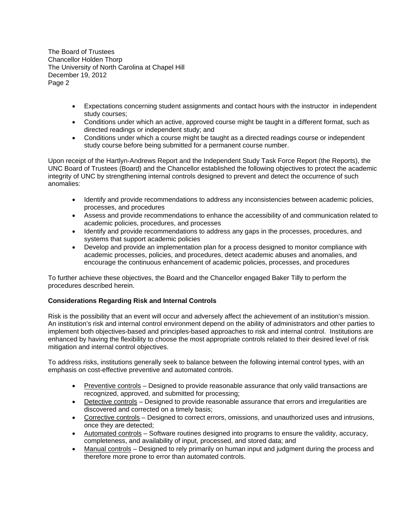- Expectations concerning student assignments and contact hours with the instructor in independent study courses;
- Conditions under which an active, approved course might be taught in a different format, such as directed readings or independent study; and
- Conditions under which a course might be taught as a directed readings course or independent study course before being submitted for a permanent course number.

Upon receipt of the Hartlyn-Andrews Report and the Independent Study Task Force Report (the Reports), the UNC Board of Trustees (Board) and the Chancellor established the following objectives to protect the academic integrity of UNC by strengthening internal controls designed to prevent and detect the occurrence of such anomalies:

- Identify and provide recommendations to address any inconsistencies between academic policies, processes, and procedures
- Assess and provide recommendations to enhance the accessibility of and communication related to academic policies, procedures, and processes
- Identify and provide recommendations to address any gaps in the processes, procedures, and systems that support academic policies
- Develop and provide an implementation plan for a process designed to monitor compliance with academic processes, policies, and procedures, detect academic abuses and anomalies, and encourage the continuous enhancement of academic policies, processes, and procedures

To further achieve these objectives, the Board and the Chancellor engaged Baker Tilly to perform the procedures described herein.

## **Considerations Regarding Risk and Internal Controls**

Risk is the possibility that an event will occur and adversely affect the achievement of an institution's mission. An institution's risk and internal control environment depend on the ability of administrators and other parties to implement both objectives-based and principles-based approaches to risk and internal control. Institutions are enhanced by having the flexibility to choose the most appropriate controls related to their desired level of risk mitigation and internal control objectives.

To address risks, institutions generally seek to balance between the following internal control types, with an emphasis on cost-effective preventive and automated controls.

- Preventive controls Designed to provide reasonable assurance that only valid transactions are recognized, approved, and submitted for processing;
- Detective controls Designed to provide reasonable assurance that errors and irregularities are discovered and corrected on a timely basis;
- Corrective controls Designed to correct errors, omissions, and unauthorized uses and intrusions, once they are detected;
- Automated controls Software routines designed into programs to ensure the validity, accuracy, completeness, and availability of input, processed, and stored data; and
- Manual controls Designed to rely primarily on human input and judgment during the process and therefore more prone to error than automated controls.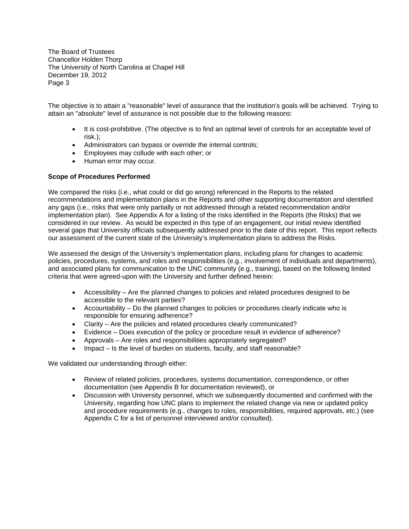The objective is to attain a "reasonable" level of assurance that the institution's goals will be achieved. Trying to attain an "absolute" level of assurance is not possible due to the following reasons:

- It is cost-prohibitive. (The objective is to find an optimal level of controls for an acceptable level of risk.);
- Administrators can bypass or override the internal controls;
- Employees may collude with each other; or
- Human error may occur.

## **Scope of Procedures Performed**

We compared the risks (i.e., what could or did go wrong) referenced in the Reports to the related recommendations and implementation plans in the Reports and other supporting documentation and identified any gaps (i.e., risks that were only partially or not addressed through a related recommendation and/or implementation plan). See Appendix A for a listing of the risks identified in the Reports (the Risks) that we considered in our review. As would be expected in this type of an engagement, our initial review identified several gaps that University officials subsequently addressed prior to the date of this report. This report reflects our assessment of the current state of the University's implementation plans to address the Risks.

We assessed the design of the University's implementation plans, including plans for changes to academic policies, procedures, systems, and roles and responsibilities (e.g., involvement of individuals and departments), and associated plans for communication to the UNC community (e.g., training), based on the following limited criteria that were agreed-upon with the University and further defined herein:

- Accessibility Are the planned changes to policies and related procedures designed to be accessible to the relevant parties?
- Accountability Do the planned changes to policies or procedures clearly indicate who is responsible for ensuring adherence?
- Clarity Are the policies and related procedures clearly communicated?
- Evidence Does execution of the policy or procedure result in evidence of adherence?
- Approvals Are roles and responsibilities appropriately segregated?
- Impact Is the level of burden on students, faculty, and staff reasonable?

We validated our understanding through either:

- Review of related policies, procedures, systems documentation, correspondence, or other documentation (see Appendix B for documentation reviewed), or
- Discussion with University personnel, which we subsequently documented and confirmed with the University, regarding how UNC plans to implement the related change via new or updated policy and procedure requirements (e.g., changes to roles, responsibilities, required approvals, etc.) (see Appendix C for a list of personnel interviewed and/or consulted).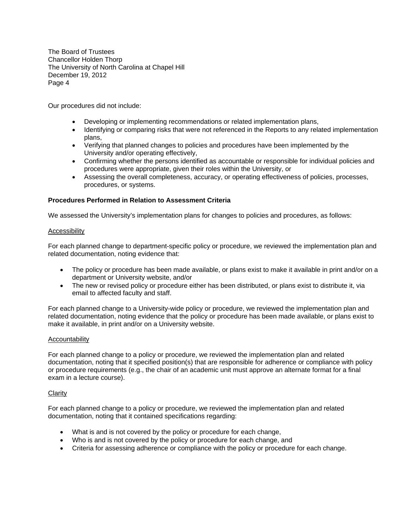Our procedures did not include:

- Developing or implementing recommendations or related implementation plans,
- Identifying or comparing risks that were not referenced in the Reports to any related implementation plans,
- Verifying that planned changes to policies and procedures have been implemented by the University and/or operating effectively,
- Confirming whether the persons identified as accountable or responsible for individual policies and procedures were appropriate, given their roles within the University, or
- Assessing the overall completeness, accuracy, or operating effectiveness of policies, processes, procedures, or systems.

## **Procedures Performed in Relation to Assessment Criteria**

We assessed the University's implementation plans for changes to policies and procedures, as follows:

#### Accessibility

For each planned change to department-specific policy or procedure, we reviewed the implementation plan and related documentation, noting evidence that:

- The policy or procedure has been made available, or plans exist to make it available in print and/or on a department or University website, and/or
- The new or revised policy or procedure either has been distributed, or plans exist to distribute it, via email to affected faculty and staff.

For each planned change to a University-wide policy or procedure, we reviewed the implementation plan and related documentation, noting evidence that the policy or procedure has been made available, or plans exist to make it available, in print and/or on a University website.

### Accountability

For each planned change to a policy or procedure, we reviewed the implementation plan and related documentation, noting that it specified position(s) that are responsible for adherence or compliance with policy or procedure requirements (e.g., the chair of an academic unit must approve an alternate format for a final exam in a lecture course).

### **Clarity**

For each planned change to a policy or procedure, we reviewed the implementation plan and related documentation, noting that it contained specifications regarding:

- What is and is not covered by the policy or procedure for each change,
- Who is and is not covered by the policy or procedure for each change, and
- Criteria for assessing adherence or compliance with the policy or procedure for each change.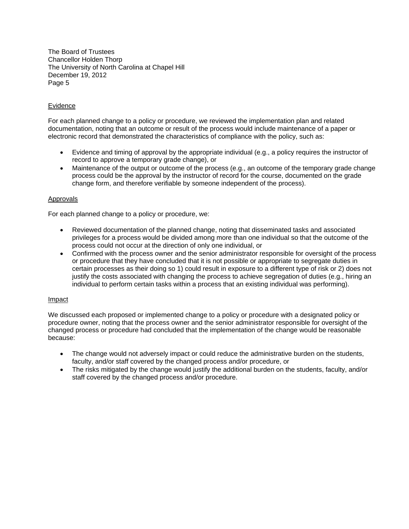## Evidence

For each planned change to a policy or procedure, we reviewed the implementation plan and related documentation, noting that an outcome or result of the process would include maintenance of a paper or electronic record that demonstrated the characteristics of compliance with the policy, such as:

- Evidence and timing of approval by the appropriate individual (e.g., a policy requires the instructor of record to approve a temporary grade change), or
- Maintenance of the output or outcome of the process (e.g., an outcome of the temporary grade change process could be the approval by the instructor of record for the course, documented on the grade change form, and therefore verifiable by someone independent of the process).

### Approvals

For each planned change to a policy or procedure, we:

- Reviewed documentation of the planned change, noting that disseminated tasks and associated privileges for a process would be divided among more than one individual so that the outcome of the process could not occur at the direction of only one individual, or
- Confirmed with the process owner and the senior administrator responsible for oversight of the process or procedure that they have concluded that it is not possible or appropriate to segregate duties in certain processes as their doing so 1) could result in exposure to a different type of risk or 2) does not justify the costs associated with changing the process to achieve segregation of duties (e.g., hiring an individual to perform certain tasks within a process that an existing individual was performing).

#### Impact

We discussed each proposed or implemented change to a policy or procedure with a designated policy or procedure owner, noting that the process owner and the senior administrator responsible for oversight of the changed process or procedure had concluded that the implementation of the change would be reasonable because:

- The change would not adversely impact or could reduce the administrative burden on the students, faculty, and/or staff covered by the changed process and/or procedure, or
- The risks mitigated by the change would justify the additional burden on the students, faculty, and/or staff covered by the changed process and/or procedure.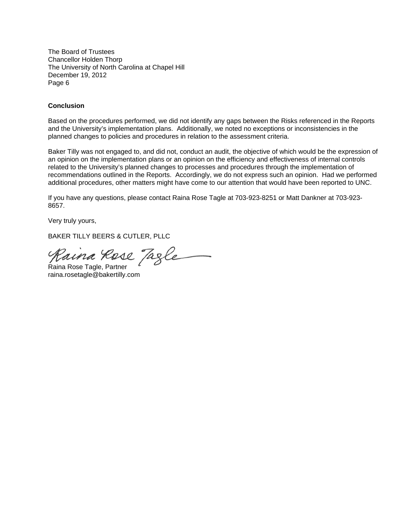#### **Conclusion**

Based on the procedures performed, we did not identify any gaps between the Risks referenced in the Reports and the University's implementation plans. Additionally, we noted no exceptions or inconsistencies in the planned changes to policies and procedures in relation to the assessment criteria.

Baker Tilly was not engaged to, and did not, conduct an audit, the objective of which would be the expression of an opinion on the implementation plans or an opinion on the efficiency and effectiveness of internal controls related to the University's planned changes to processes and procedures through the implementation of recommendations outlined in the Reports. Accordingly, we do not express such an opinion. Had we performed additional procedures, other matters might have come to our attention that would have been reported to UNC.

If you have any questions, please contact Raina Rose Tagle at 703-923-8251 or Matt Dankner at 703-923- 8657.

Very truly yours,

BAKER TILLY BEERS & CUTLER, PLLC

Raina Rose Tagle

raina.rosetagle@bakertilly.com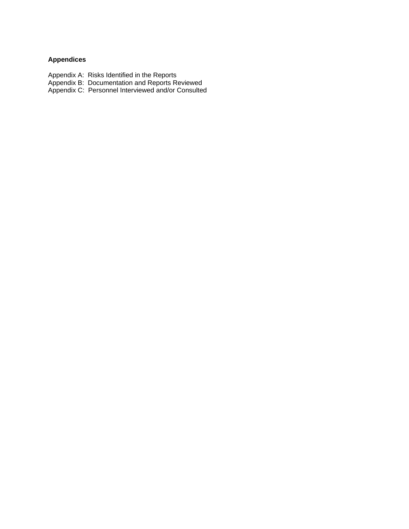# **Appendices**

- Appendix A: Risks Identified in the Reports
- Appendix B: Documentation and Reports Reviewed
- Appendix C: Personnel Interviewed and/or Consulted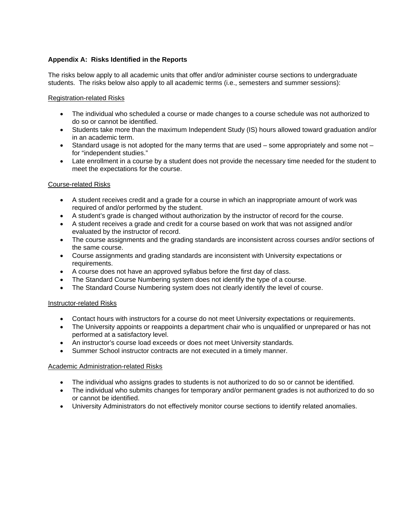## **Appendix A: Risks Identified in the Reports**

The risks below apply to all academic units that offer and/or administer course sections to undergraduate students. The risks below also apply to all academic terms (i.e., semesters and summer sessions):

## Registration-related Risks

- The individual who scheduled a course or made changes to a course schedule was not authorized to do so or cannot be identified.
- Students take more than the maximum Independent Study (IS) hours allowed toward graduation and/or in an academic term.
- $\bullet$  Standard usage is not adopted for the many terms that are used some appropriately and some not for "independent studies."
- Late enrollment in a course by a student does not provide the necessary time needed for the student to meet the expectations for the course.

## Course-related Risks

- A student receives credit and a grade for a course in which an inappropriate amount of work was required of and/or performed by the student.
- A student's grade is changed without authorization by the instructor of record for the course.
- A student receives a grade and credit for a course based on work that was not assigned and/or evaluated by the instructor of record.
- The course assignments and the grading standards are inconsistent across courses and/or sections of the same course.
- Course assignments and grading standards are inconsistent with University expectations or requirements.
- A course does not have an approved syllabus before the first day of class.
- The Standard Course Numbering system does not identify the type of a course.
- The Standard Course Numbering system does not clearly identify the level of course.

### Instructor-related Risks

- Contact hours with instructors for a course do not meet University expectations or requirements.
- The University appoints or reappoints a department chair who is unqualified or unprepared or has not performed at a satisfactory level.
- An instructor's course load exceeds or does not meet University standards.
- Summer School instructor contracts are not executed in a timely manner.

### Academic Administration-related Risks

- The individual who assigns grades to students is not authorized to do so or cannot be identified.
- The individual who submits changes for temporary and/or permanent grades is not authorized to do so or cannot be identified.
- University Administrators do not effectively monitor course sections to identify related anomalies.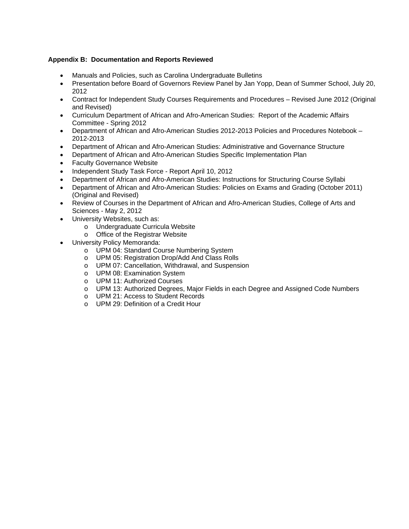## **Appendix B: Documentation and Reports Reviewed**

- Manuals and Policies, such as Carolina Undergraduate Bulletins
- Presentation before Board of Governors Review Panel by Jan Yopp, Dean of Summer School, July 20, 2012
- Contract for Independent Study Courses Requirements and Procedures Revised June 2012 (Original and Revised)
- Curriculum Department of African and Afro-American Studies: Report of the Academic Affairs Committee - Spring 2012
- Department of African and Afro-American Studies 2012-2013 Policies and Procedures Notebook 2012-2013
- Department of African and Afro-American Studies: Administrative and Governance Structure
- Department of African and Afro-American Studies Specific Implementation Plan
- **•** Faculty Governance Website
- Independent Study Task Force Report April 10, 2012
- Department of African and Afro-American Studies: Instructions for Structuring Course Syllabi
- Department of African and Afro-American Studies: Policies on Exams and Grading (October 2011) (Original and Revised)
- Review of Courses in the Department of African and Afro-American Studies, College of Arts and Sciences - May 2, 2012
- University Websites, such as:
	- o Undergraduate Curricula Website
	- o Office of the Registrar Website
- University Policy Memoranda:
	- o UPM 04: Standard Course Numbering System
	- o UPM 05: Registration Drop/Add And Class Rolls
	- o UPM 07: Cancellation, Withdrawal, and Suspension
	- o UPM 08: Examination System
	- o UPM 11: Authorized Courses
	- o UPM 13: Authorized Degrees, Major Fields in each Degree and Assigned Code Numbers
	- o UPM 21: Access to Student Records
	- o UPM 29: Definition of a Credit Hour